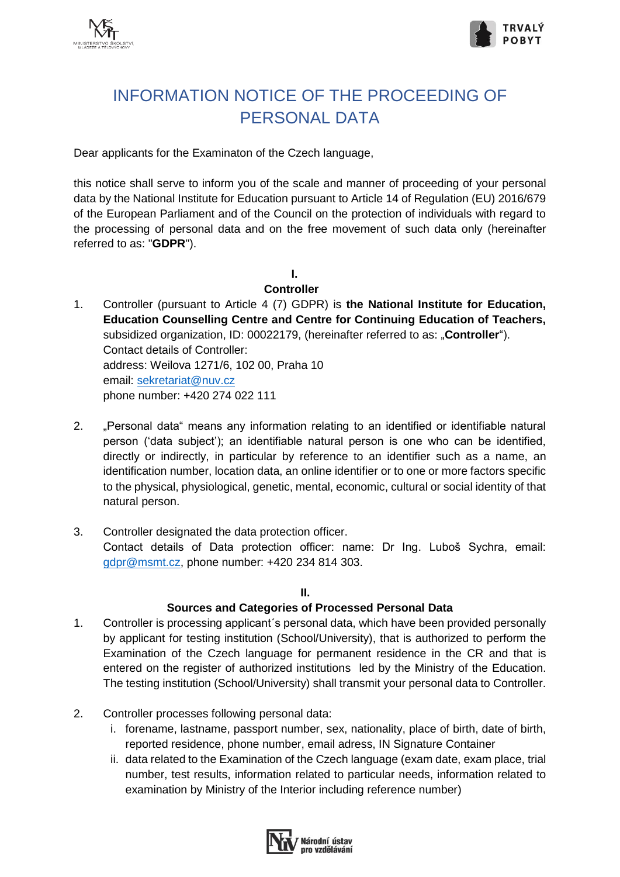



# INFORMATION NOTICE OF THE PROCEEDING OF PERSONAL DATA

Dear applicants for the Examinaton of the Czech language,

this notice shall serve to inform you of the scale and manner of proceeding of your personal data by the National Institute for Education pursuant to Article 14 of Regulation (EU) 2016/679 of the European Parliament and of the Council on the protection of individuals with regard to the processing of personal data and on the free movement of such data only (hereinafter referred to as: "**GDPR**").

**I.**

#### **Controller**

- 1. Controller (pursuant to Article 4 (7) GDPR) is **the National Institute for Education, Education Counselling Centre and Centre for Continuing Education of Teachers,** subsidized organization, ID: 00022179, (hereinafter referred to as: "**Controller**"). Contact details of Controller: address: Weilova 1271/6, 102 00, Praha 10 email: [sekretariat@nuv.cz](mailto:sekretariat@nuv.cz) phone number: +420 274 022 111
- 2. "Personal data" means any information relating to an identified or identifiable natural person ('data subject'); an identifiable natural person is one who can be identified, directly or indirectly, in particular by reference to an identifier such as a name, an identification number, location data, an online identifier or to one or more factors specific to the physical, physiological, genetic, mental, economic, cultural or social identity of that natural person.
- 3. Controller designated the data protection officer. Contact details of Data protection officer: name: Dr Ing. Luboš Sychra, email: [gdpr@msmt.cz,](mailto:gdpr@msmt.cz) phone number: +420 234 814 303.

**II.**

# **Sources and Categories of Processed Personal Data**

- 1. Controller is processing applicant´s personal data, which have been provided personally by applicant for testing institution (School/University), that is authorized to perform the Examination of the Czech language for permanent residence in the CR and that is entered on the register of authorized institutions led by the Ministry of the Education. The testing institution (School/University) shall transmit your personal data to Controller.
- 2. Controller processes following personal data:
	- i. forename, lastname, passport number, sex, nationality, place of birth, date of birth, reported residence, phone number, email adress, IN Signature Container
	- ii. data related to the Examination of the Czech language (exam date, exam place, trial number, test results, information related to particular needs, information related to examination by Ministry of the Interior including reference number)

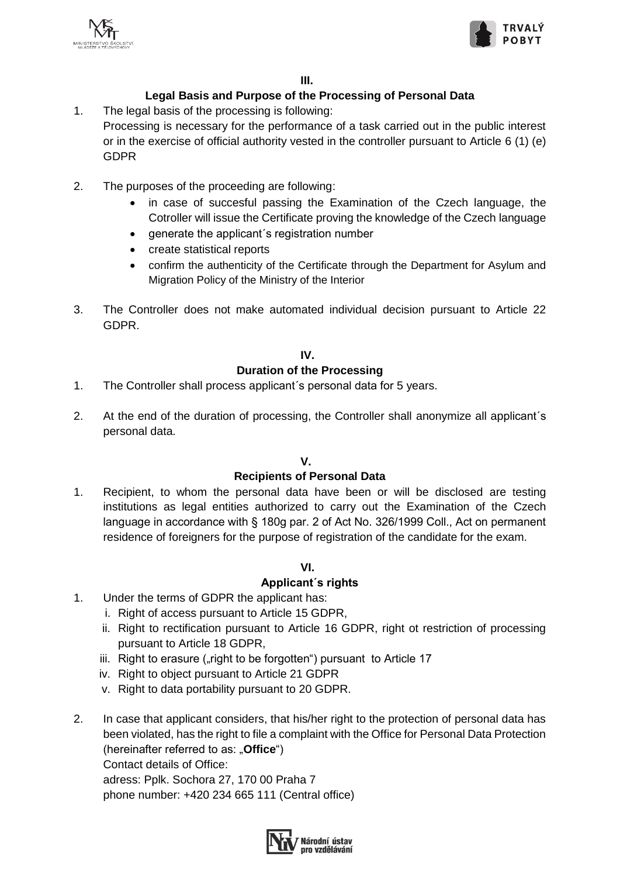



# **Legal Basis and Purpose of the Processing of Personal Data**

- 1. The legal basis of the processing is following: Processing is necessary for the performance of a task carried out in the public interest or in the exercise of official authority vested in the controller pursuant to Article 6 (1) (e) GDPR
- 2. The purposes of the proceeding are following:
	- in case of succesful passing the Examination of the Czech language, the Cotroller will issue the Certificate proving the knowledge of the Czech language
	- generate the applicant's registration number
	- create statistical reports
	- confirm the authenticity of the Certificate through the Department for Asylum and Migration Policy of the Ministry of the Interior
- 3. The Controller does not make automated individual decision pursuant to Article 22 GDPR.

#### **IV.**

# **Duration of the Processing**

- 1. The Controller shall process applicant´s personal data for 5 years.
- 2. At the end of the duration of processing, the Controller shall anonymize all applicant´s personal data.

# **V.**

# **Recipients of Personal Data**

1. Recipient, to whom the personal data have been or will be disclosed are testing institutions as legal entities authorized to carry out the Examination of the Czech language in accordance with § 180g par. 2 of Act No. 326/1999 Coll., Act on permanent residence of foreigners for the purpose of registration of the candidate for the exam.

# **VI.**

# **Applicant´s rights**

- 1. Under the terms of GDPR the applicant has:
	- i. Right of access pursuant to Article 15 GDPR,
	- ii. Right to rectification pursuant to Article 16 GDPR, right ot restriction of processing pursuant to Article 18 GDPR,
	- iii. Right to erasure ("right to be forgotten") pursuant to Article 17
	- iv. Right to object pursuant to Article 21 GDPR
	- v. Right to data portability pursuant to 20 GDPR.
- 2. In case that applicant considers, that his/her right to the protection of personal data has been violated, has the right to file a complaint with the Office for Personal Data Protection (hereinafter referred to as: "**Office**") Contact details of Office: adress: Pplk. Sochora 27, 170 00 Praha 7 phone number: +420 234 665 111 (Central office)